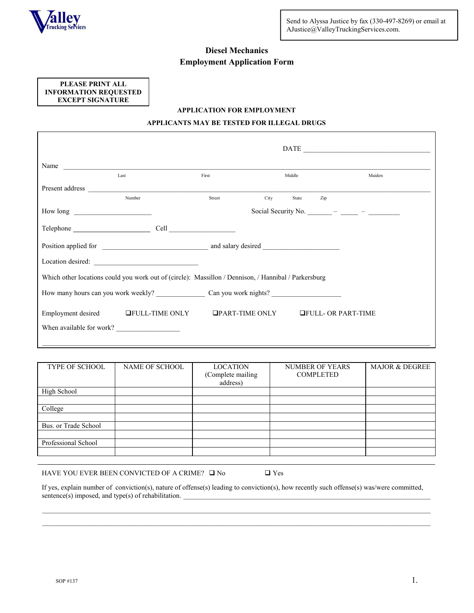

# **Diesel Mechanics Employment Application Form**

**PLEASE PRINT ALL INFORMATION REQUESTED EXCEPT SIGNATURE** 

# **APPLICATION FOR EMPLOYMENT**

# **APPLICANTS MAY BE TESTED FOR ILLEGAL DRUGS**

| Name                                                                                                                                                                                                                           |        |      |        |     |                                                                         |  |
|--------------------------------------------------------------------------------------------------------------------------------------------------------------------------------------------------------------------------------|--------|------|--------|-----|-------------------------------------------------------------------------|--|
| Last                                                                                                                                                                                                                           | First  |      | Middle |     | Maiden                                                                  |  |
| Present address and the contract of the contract of the contract of the contract of the contract of the contract of the contract of the contract of the contract of the contract of the contract of the contract of the contra |        |      |        |     |                                                                         |  |
| Number                                                                                                                                                                                                                         | Street | City | State  | Zip |                                                                         |  |
|                                                                                                                                                                                                                                |        |      |        |     | Social Security No. $\frac{\ }{\ }$ - $\frac{\ }{\ }$ - $\frac{\ }{\ }$ |  |
|                                                                                                                                                                                                                                |        |      |        |     |                                                                         |  |
|                                                                                                                                                                                                                                |        |      |        |     |                                                                         |  |
|                                                                                                                                                                                                                                |        |      |        |     |                                                                         |  |
| Which other locations could you work out of (circle): Massillon / Dennison, / Hannibal / Parkersburg                                                                                                                           |        |      |        |     |                                                                         |  |
|                                                                                                                                                                                                                                |        |      |        |     |                                                                         |  |
| Employment desired GFULL-TIME ONLY GPART-TIME ONLY GFULL- OR PART-TIME                                                                                                                                                         |        |      |        |     |                                                                         |  |
| When available for work?                                                                                                                                                                                                       |        |      |        |     |                                                                         |  |
|                                                                                                                                                                                                                                |        |      |        |     |                                                                         |  |

| TYPE OF SCHOOL       | NAME OF SCHOOL | <b>LOCATION</b><br>(Complete mailing<br>address) | <b>NUMBER OF YEARS</b><br><b>COMPLETED</b> | <b>MAJOR &amp; DEGREE</b> |
|----------------------|----------------|--------------------------------------------------|--------------------------------------------|---------------------------|
| High School          |                |                                                  |                                            |                           |
|                      |                |                                                  |                                            |                           |
| College              |                |                                                  |                                            |                           |
|                      |                |                                                  |                                            |                           |
| Bus. or Trade School |                |                                                  |                                            |                           |
|                      |                |                                                  |                                            |                           |
| Professional School  |                |                                                  |                                            |                           |
|                      |                |                                                  |                                            |                           |

HAVE YOU EVER BEEN CONVICTED OF A CRIME?  $\Box$  No  $\Box$  Yes

If yes, explain number of conviction(s), nature of offense(s) leading to conviction(s), how recently such offense(s) was/were committed, sentence(s) imposed, and type(s) of rehabilitation.

 $\_$  ,  $\_$  ,  $\_$  ,  $\_$  ,  $\_$  ,  $\_$  ,  $\_$  ,  $\_$  ,  $\_$  ,  $\_$  ,  $\_$  ,  $\_$  ,  $\_$  ,  $\_$  ,  $\_$  ,  $\_$  ,  $\_$  ,  $\_$  ,  $\_$  ,  $\_$  ,  $\_$  ,  $\_$  ,  $\_$  ,  $\_$  ,  $\_$  ,  $\_$  ,  $\_$  ,  $\_$  ,  $\_$  ,  $\_$  ,  $\_$  ,  $\_$  ,  $\_$  ,  $\_$  ,  $\_$  ,  $\_$  ,  $\_$  ,  $\_$  ,  $\_$  ,  $\_$  ,  $\_$  ,  $\_$  ,  $\_$  ,  $\_$  ,  $\_$  ,  $\_$  ,  $\_$  ,  $\_$  ,  $\_$  ,  $\_$  ,  $\_$  ,  $\_$  ,  $\_$  ,  $\_$  ,  $\_$  ,  $\_$  ,  $\_$  ,  $\_$  ,  $\_$  ,  $\_$  ,  $\_$  ,  $\_$  ,  $\_$  ,  $\_$  ,  $\_$  ,  $\_$  ,  $\_$  ,  $\_$  ,  $\_$  ,  $\_$  ,  $\_$  ,  $\_$  ,  $\_$  ,  $\_$  ,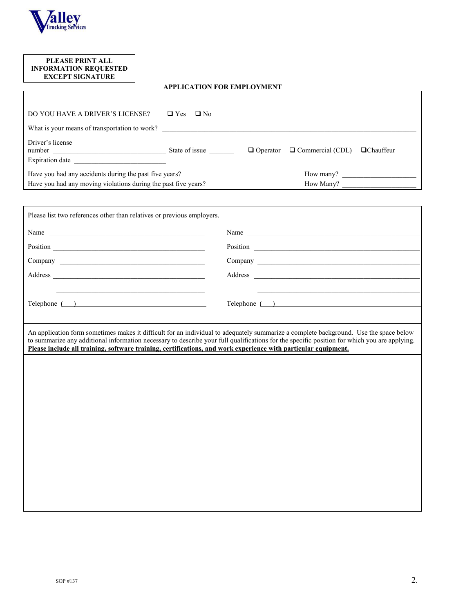

**r** 

# **PLEASE PRINT ALL INFORMATION REQUESTED EXCEPT SIGNATURE**

# **APPLICATION FOR EMPLOYMENT**

| DO YOU HAVE A DRIVER'S LICENSE?                                                                                                                    | $\Box$ Yes<br>$\Box$ No |                 |                         |                  |
|----------------------------------------------------------------------------------------------------------------------------------------------------|-------------------------|-----------------|-------------------------|------------------|
| What is your means of transportation to work?                                                                                                      |                         |                 |                         |                  |
| Driver's license<br>number<br>Expiration date                                                                                                      | State of issue          | $\Box$ Operator | $\Box$ Commercial (CDL) | $\Box$ Chauffeur |
| Have you had any accidents during the past five years?<br>How many?<br>Have you had any moving violations during the past five years?<br>How Many? |                         |                 |                         |                  |

| Please list two references other than relatives or previous employers.                                                                                                                                                                                                                                                                                                                                  |               |
|---------------------------------------------------------------------------------------------------------------------------------------------------------------------------------------------------------------------------------------------------------------------------------------------------------------------------------------------------------------------------------------------------------|---------------|
| Name                                                                                                                                                                                                                                                                                                                                                                                                    |               |
|                                                                                                                                                                                                                                                                                                                                                                                                         |               |
|                                                                                                                                                                                                                                                                                                                                                                                                         |               |
|                                                                                                                                                                                                                                                                                                                                                                                                         |               |
|                                                                                                                                                                                                                                                                                                                                                                                                         |               |
| Telephone ( )                                                                                                                                                                                                                                                                                                                                                                                           | Telephone ( ) |
|                                                                                                                                                                                                                                                                                                                                                                                                         |               |
| An application form sometimes makes it difficult for an individual to adequately summarize a complete background. Use the space below<br>to summarize any additional information necessary to describe your full qualifications for the specific position for which you are applying.<br>Please include all training, software training, certifications, and work experience with particular equipment. |               |
|                                                                                                                                                                                                                                                                                                                                                                                                         |               |
|                                                                                                                                                                                                                                                                                                                                                                                                         |               |
|                                                                                                                                                                                                                                                                                                                                                                                                         |               |
|                                                                                                                                                                                                                                                                                                                                                                                                         |               |
|                                                                                                                                                                                                                                                                                                                                                                                                         |               |
|                                                                                                                                                                                                                                                                                                                                                                                                         |               |
|                                                                                                                                                                                                                                                                                                                                                                                                         |               |
|                                                                                                                                                                                                                                                                                                                                                                                                         |               |
|                                                                                                                                                                                                                                                                                                                                                                                                         |               |
|                                                                                                                                                                                                                                                                                                                                                                                                         |               |
|                                                                                                                                                                                                                                                                                                                                                                                                         |               |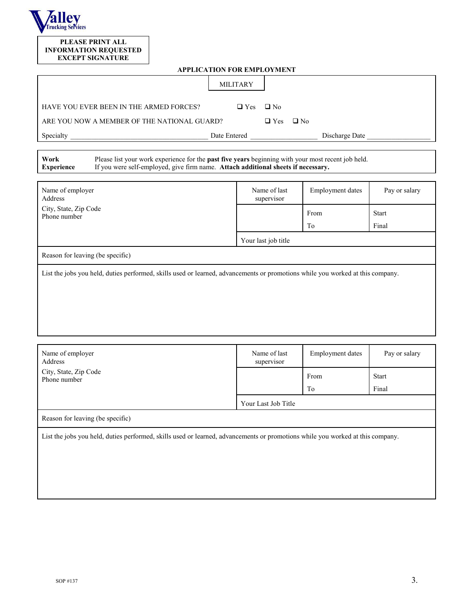

#### **PLEASE PRINT ALL INFORMATION REQUESTED EXCEPT SIGNATURE**

| <b>APPLICATION FOR EMPLOYMENT</b> |  |  |
|-----------------------------------|--|--|
|                                   |  |  |

| <b>APPLICATION FOR EMPLOYMENT</b>                                                                                                                                                                                    |                            |                                 |                               |  |  |
|----------------------------------------------------------------------------------------------------------------------------------------------------------------------------------------------------------------------|----------------------------|---------------------------------|-------------------------------|--|--|
|                                                                                                                                                                                                                      | <b>MILITARY</b>            |                                 |                               |  |  |
| HAVE YOU EVER BEEN IN THE ARMED FORCES?                                                                                                                                                                              | $\Box$ No<br>$\Box$ Yes    |                                 |                               |  |  |
| ARE YOU NOW A MEMBER OF THE NATIONAL GUARD?                                                                                                                                                                          | $\Box$ Yes<br>$\Box$ No    |                                 |                               |  |  |
|                                                                                                                                                                                                                      |                            | Discharge Date                  |                               |  |  |
| Please list your work experience for the past five years beginning with your most recent job held.<br>Work<br>If you were self-employed, give firm name. Attach additional sheets if necessary.<br><b>Experience</b> |                            |                                 |                               |  |  |
| Name of employer<br>Address                                                                                                                                                                                          | Name of last<br>supervisor | <b>Employment</b> dates         | Pay or salary                 |  |  |
| City, State, Zip Code<br>Phone number                                                                                                                                                                                |                            | From                            | <b>Start</b>                  |  |  |
|                                                                                                                                                                                                                      |                            | T <sub>o</sub>                  | Final                         |  |  |
|                                                                                                                                                                                                                      | Your last job title        |                                 |                               |  |  |
| Reason for leaving (be specific)                                                                                                                                                                                     |                            |                                 |                               |  |  |
| List the jobs you held, duties performed, skills used or learned, advancements or promotions while you worked at this company.                                                                                       |                            |                                 |                               |  |  |
| Name of employer<br>Address<br>City, State, Zip Code                                                                                                                                                                 | Name of last<br>supervisor | <b>Employment</b> dates<br>From | Pay or salary<br><b>Start</b> |  |  |
| Phone number                                                                                                                                                                                                         |                            |                                 |                               |  |  |

Your Last Job Title

To

Final

Reason for leaving (be specific)

List the jobs you held, duties performed, skills used or learned, advancements or promotions while you worked at this company.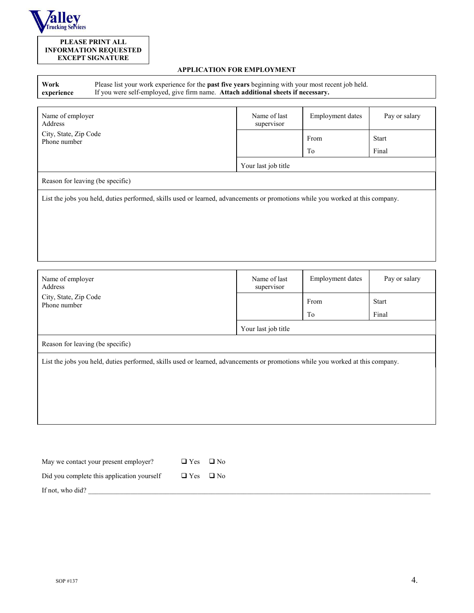

# **PLEASE PRINT ALL INFORMATION REQUESTED EXCEPT SIGNATURE**

# **APPLICATION FOR EMPLOYMENT**

| Work       | Please list your work experience for the <b>past five years</b> beginning with your most recent job held. |
|------------|-----------------------------------------------------------------------------------------------------------|
| experience | If you were self-employed, give firm name. Attach additional sheets if necessary.                         |

| Name of employer<br>Address                                                                                                    | Name of last<br>supervisor | <b>Employment dates</b> | Pay or salary         |  |  |
|--------------------------------------------------------------------------------------------------------------------------------|----------------------------|-------------------------|-----------------------|--|--|
| City, State, Zip Code<br>Phone number                                                                                          |                            | From<br>To              | <b>Start</b><br>Final |  |  |
|                                                                                                                                | Your last job title        |                         |                       |  |  |
| Reason for leaving (be specific)                                                                                               |                            |                         |                       |  |  |
| List the jobs you held, duties performed, skills used or learned, advancements or promotions while you worked at this company. |                            |                         |                       |  |  |

| Name of employer<br>Address                                                                                                    | Name of last<br>supervisor | Employment dates | Pay or salary |  |  |  |
|--------------------------------------------------------------------------------------------------------------------------------|----------------------------|------------------|---------------|--|--|--|
| City, State, Zip Code<br>Phone number                                                                                          |                            | From             | <b>Start</b>  |  |  |  |
|                                                                                                                                |                            | To               | Final         |  |  |  |
|                                                                                                                                | Your last job title        |                  |               |  |  |  |
| Reason for leaving (be specific)                                                                                               |                            |                  |               |  |  |  |
| List the jobs you held, duties performed, skills used or learned, advancements or promotions while you worked at this company. |                            |                  |               |  |  |  |
|                                                                                                                                |                            |                  |               |  |  |  |
|                                                                                                                                |                            |                  |               |  |  |  |
|                                                                                                                                |                            |                  |               |  |  |  |
|                                                                                                                                |                            |                  |               |  |  |  |

| May we contact your present employer?      | $\Box$ Yes $\Box$ No |  |
|--------------------------------------------|----------------------|--|
| Did you complete this application yourself | $\Box$ Yes $\Box$ No |  |
| If not, who did?                           |                      |  |